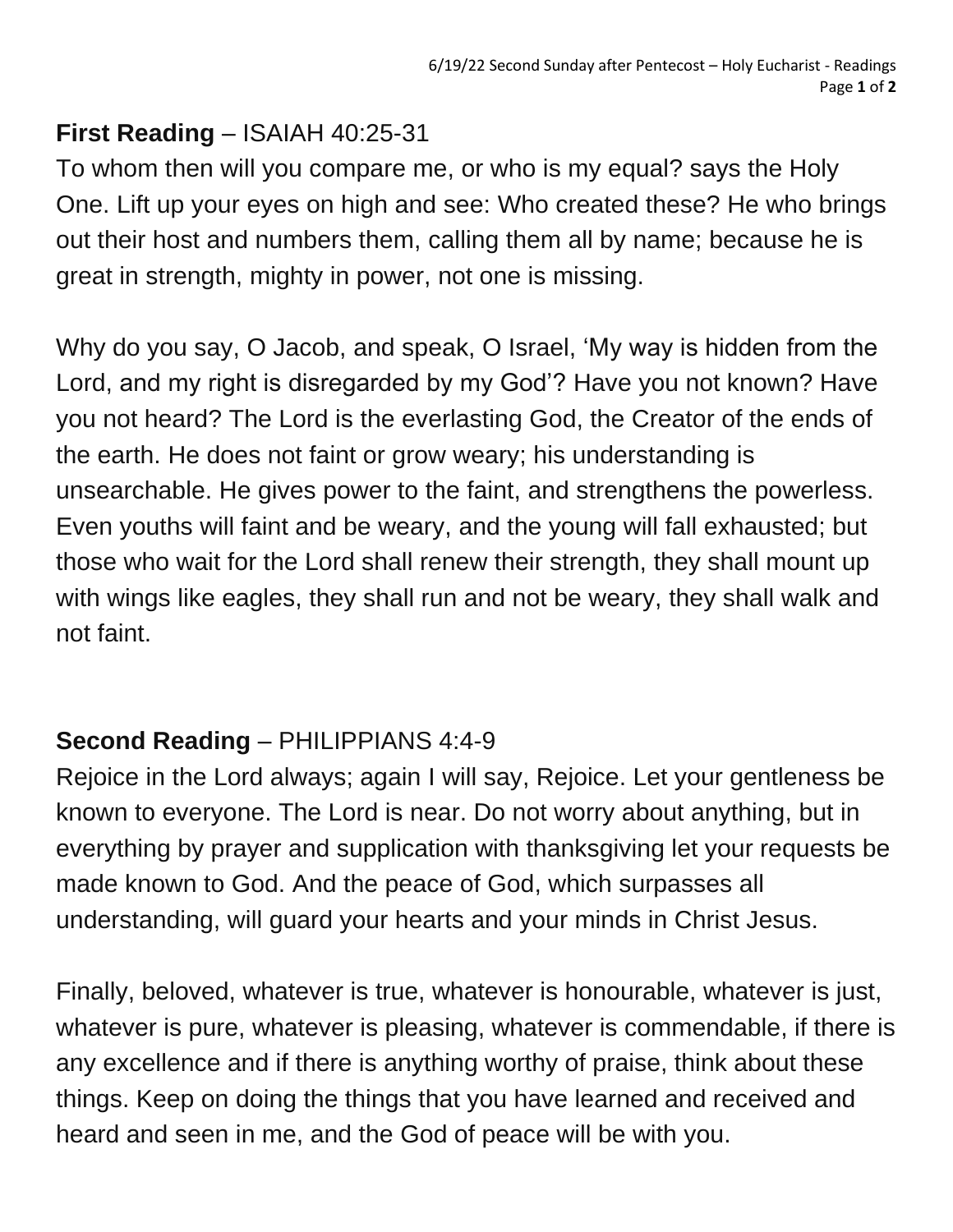## **First Reading** – ISAIAH 40:25-31

To whom then will you compare me, or who is my equal? says the Holy One. Lift up your eyes on high and see: Who created these? He who brings out their host and numbers them, calling them all by name; because he is great in strength, mighty in power, not one is missing.

Why do you say, O Jacob, and speak, O Israel, 'My way is hidden from the Lord, and my right is disregarded by my God'? Have you not known? Have you not heard? The Lord is the everlasting God, the Creator of the ends of the earth. He does not faint or grow weary; his understanding is unsearchable. He gives power to the faint, and strengthens the powerless. Even youths will faint and be weary, and the young will fall exhausted; but those who wait for the Lord shall renew their strength, they shall mount up with wings like eagles, they shall run and not be weary, they shall walk and not faint.

## **Second Reading** – PHILIPPIANS 4:4-9

Rejoice in the Lord always; again I will say, Rejoice. Let your gentleness be known to everyone. The Lord is near. Do not worry about anything, but in everything by prayer and supplication with thanksgiving let your requests be made known to God. And the peace of God, which surpasses all understanding, will guard your hearts and your minds in Christ Jesus.

Finally, beloved, whatever is true, whatever is honourable, whatever is just, whatever is pure, whatever is pleasing, whatever is commendable, if there is any excellence and if there is anything worthy of praise, think about these things. Keep on doing the things that you have learned and received and heard and seen in me, and the God of peace will be with you.